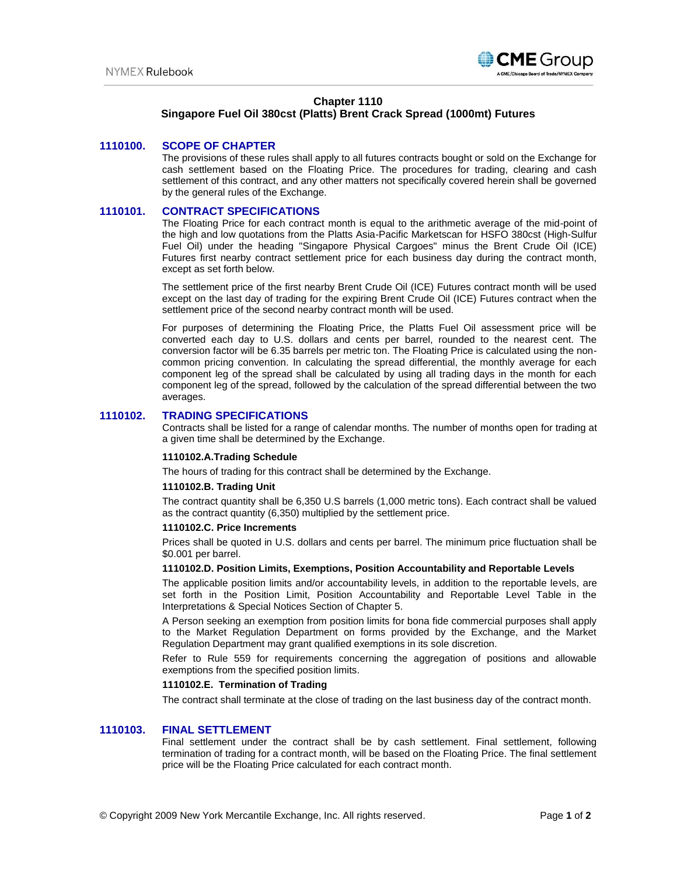

# **Chapter 1110**

# **Singapore Fuel Oil 380cst (Platts) Brent Crack Spread (1000mt) Futures**

# **1110100. SCOPE OF CHAPTER**

The provisions of these rules shall apply to all futures contracts bought or sold on the Exchange for cash settlement based on the Floating Price. The procedures for trading, clearing and cash settlement of this contract, and any other matters not specifically covered herein shall be governed by the general rules of the Exchange.

### **1110101. CONTRACT SPECIFICATIONS**

The Floating Price for each contract month is equal to the arithmetic average of the mid-point of the high and low quotations from the Platts Asia-Pacific Marketscan for HSFO 380cst (High-Sulfur Fuel Oil) under the heading "Singapore Physical Cargoes" minus the Brent Crude Oil (ICE) Futures first nearby contract settlement price for each business day during the contract month, except as set forth below.

The settlement price of the first nearby Brent Crude Oil (ICE) Futures contract month will be used except on the last day of trading for the expiring Brent Crude Oil (ICE) Futures contract when the settlement price of the second nearby contract month will be used.

For purposes of determining the Floating Price, the Platts Fuel Oil assessment price will be converted each day to U.S. dollars and cents per barrel, rounded to the nearest cent. The conversion factor will be 6.35 barrels per metric ton. The Floating Price is calculated using the noncommon pricing convention. In calculating the spread differential, the monthly average for each component leg of the spread shall be calculated by using all trading days in the month for each component leg of the spread, followed by the calculation of the spread differential between the two averages.

# **1110102. TRADING SPECIFICATIONS**

Contracts shall be listed for a range of calendar months. The number of months open for trading at a given time shall be determined by the Exchange.

#### **1110102.A.Trading Schedule**

The hours of trading for this contract shall be determined by the Exchange.

#### **1110102.B. Trading Unit**

The contract quantity shall be 6,350 U.S barrels (1,000 metric tons). Each contract shall be valued as the contract quantity (6,350) multiplied by the settlement price.

# **1110102.C. Price Increments**

Prices shall be quoted in U.S. dollars and cents per barrel. The minimum price fluctuation shall be \$0.001 per barrel.

#### **1110102.D. Position Limits, Exemptions, Position Accountability and Reportable Levels**

The applicable position limits and/or accountability levels, in addition to the reportable levels, are set forth in the Position Limit, Position Accountability and Reportable Level Table in the Interpretations & Special Notices Section of Chapter 5.

A Person seeking an exemption from position limits for bona fide commercial purposes shall apply to the Market Regulation Department on forms provided by the Exchange, and the Market Regulation Department may grant qualified exemptions in its sole discretion.

Refer to Rule 559 for requirements concerning the aggregation of positions and allowable exemptions from the specified position limits.

#### **1110102.E. Termination of Trading**

The contract shall terminate at the close of trading on the last business day of the contract month.

# **1110103. FINAL SETTLEMENT**

Final settlement under the contract shall be by cash settlement. Final settlement, following termination of trading for a contract month, will be based on the Floating Price. The final settlement price will be the Floating Price calculated for each contract month.